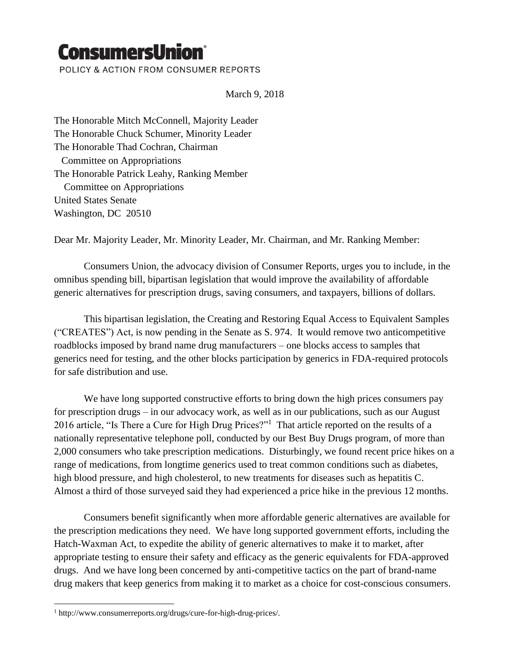## **ConsumersUnion®**

POLICY & ACTION FROM CONSUMER REPORTS

March 9, 2018

The Honorable Mitch McConnell, Majority Leader The Honorable Chuck Schumer, Minority Leader The Honorable Thad Cochran, Chairman Committee on Appropriations The Honorable Patrick Leahy, Ranking Member Committee on Appropriations United States Senate Washington, DC 20510

Dear Mr. Majority Leader, Mr. Minority Leader, Mr. Chairman, and Mr. Ranking Member:

Consumers Union, the advocacy division of Consumer Reports, urges you to include, in the omnibus spending bill, bipartisan legislation that would improve the availability of affordable generic alternatives for prescription drugs, saving consumers, and taxpayers, billions of dollars.

This bipartisan legislation, the Creating and Restoring Equal Access to Equivalent Samples ("CREATES") Act, is now pending in the Senate as S. 974. It would remove two anticompetitive roadblocks imposed by brand name drug manufacturers – one blocks access to samples that generics need for testing, and the other blocks participation by generics in FDA-required protocols for safe distribution and use.

We have long supported constructive efforts to bring down the high prices consumers pay for prescription drugs – in our advocacy work, as well as in our publications, such as our August 2016 article, "Is There a Cure for High Drug Prices?"<sup>1</sup> That article reported on the results of a nationally representative telephone poll, conducted by our Best Buy Drugs program, of more than 2,000 consumers who take prescription medications. Disturbingly, we found recent price hikes on a range of medications, from longtime generics used to treat common conditions such as diabetes, high blood pressure, and high cholesterol, to new treatments for diseases such as hepatitis C. Almost a third of those surveyed said they had experienced a price hike in the previous 12 months.

Consumers benefit significantly when more affordable generic alternatives are available for the prescription medications they need. We have long supported government efforts, including the Hatch-Waxman Act, to expedite the ability of generic alternatives to make it to market, after appropriate testing to ensure their safety and efficacy as the generic equivalents for FDA-approved drugs. And we have long been concerned by anti-competitive tactics on the part of brand-name drug makers that keep generics from making it to market as a choice for cost-conscious consumers.

 $\overline{a}$ 

<sup>1</sup> http://www.consumerreports.org/drugs/cure-for-high-drug-prices/.